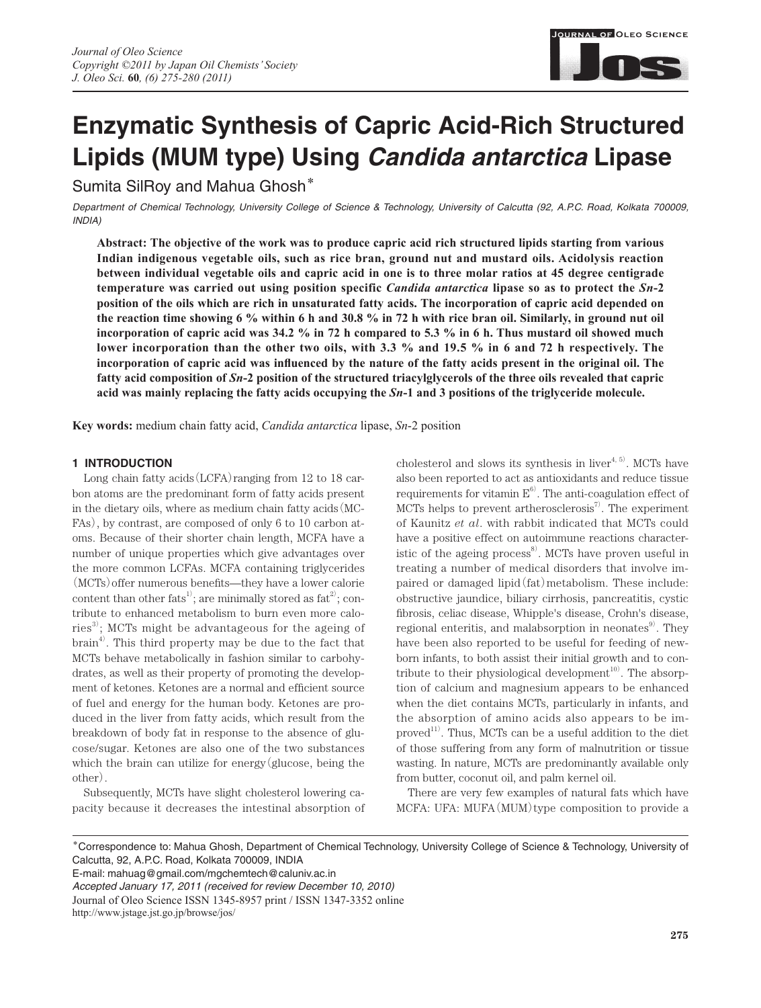

# **Enzymatic Synthesis of Capric Acid-Rich Structured Lipids (MUM type) Using** *Candida antarctica* **Lipase**

Sumita SilRoy and Mahua Ghosh**\***

*Department of Chemical Technology, University College of Science & Technology, University of Calcutta (92, A.P.C. Road, Kolkata 700009, INDIA)*

**Abstract: The objective of the work was to produce capric acid rich structured lipids starting from various Indian indigenous vegetable oils, such as rice bran, ground nut and mustard oils. Acidolysis reaction between individual vegetable oils and capric acid in one is to three molar ratios at 45 degree centigrade temperature was carried out using position specific** *Candida antarctica* **lipase so as to protect the** *Sn***-2 position of the oils which are rich in unsaturated fatty acids. The incorporation of capric acid depended on the reaction time showing 6 % within 6 h and 30.8 % in 72 h with rice bran oil. Similarly, in ground nut oil incorporation of capric acid was 34.2 % in 72 h compared to 5.3 % in 6 h. Thus mustard oil showed much lower incorporation than the other two oils, with 3.3 % and 19.5 % in 6 and 72 h respectively. The**  incorporation of capric acid was influenced by the nature of the fatty acids present in the original oil. The **fatty acid composition of** *Sn***-2 position of the structured triacylglycerols of the three oils revealed that capric acid was mainly replacing the fatty acids occupying the** *Sn***-1 and 3 positions of the triglyceride molecule.**

**Key words:** medium chain fatty acid, *Candida antarctica* lipase, *Sn*-2 position

# **1 INTRODUCTION**

Long chain fatty acids  $(LCFA)$  ranging from 12 to 18 carbon atoms are the predominant form of fatty acids present in the dietary oils, where as medium chain fatty acids(MC-FAs), by contrast, are composed of only 6 to 10 carbon atoms. Because of their shorter chain length, MCFA have a number of unique properties which give advantages over the more common LCFAs. MCFA containing triglycerides  $(MCTs)$  offer numerous benefits—they have a lower calorie content than other fats<sup>1</sup>; are minimally stored as  $fat^{2}$ ; contribute to enhanced metabolism to burn even more calories<sup>3)</sup>; MCTs might be advantageous for the ageing of  $\text{brain}^{4}$ . This third property may be due to the fact that MCTs behave metabolically in fashion similar to carbohydrates, as well as their property of promoting the development of ketones. Ketones are a normal and efficient source of fuel and energy for the human body. Ketones are produced in the liver from fatty acids, which result from the breakdown of body fat in response to the absence of glucose/sugar. Ketones are also one of the two substances which the brain can utilize for energy(glucose, being the other).

Subsequently, MCTs have slight cholesterol lowering capacity because it decreases the intestinal absorption of cholesterol and slows its synthesis in liver<sup> $4, 5$ </sup>. MCTs have also been reported to act as antioxidants and reduce tissue requirements for vitamin  $E^6$ . The anti-coagulation effect of MCTs helps to prevent artherosclerosis $\binom{7}{1}$ . The experiment of Kaunitz *et al*. with rabbit indicated that MCTs could have a positive effect on autoimmune reactions characteristic of the ageing process<sup>8)</sup>. MCTs have proven useful in treating a number of medical disorders that involve impaired or damaged lipid(fat)metabolism. These include: obstructive jaundice, biliary cirrhosis, pancreatitis, cystic fibrosis, celiac disease, Whipple's disease, Crohn's disease, regional enteritis, and malabsorption in neonates<sup>9</sup>. They have been also reported to be useful for feeding of newborn infants, to both assist their initial growth and to contribute to their physiological development $10$ <sup>0</sup>. The absorption of calcium and magnesium appears to be enhanced when the diet contains MCTs, particularly in infants, and the absorption of amino acids also appears to be im $proved<sup>11</sup>$ . Thus, MCTs can be a useful addition to the diet of those suffering from any form of malnutrition or tissue wasting. In nature, MCTs are predominantly available only from butter, coconut oil, and palm kernel oil.

There are very few examples of natural fats which have MCFA: UFA: MUFA(MUM)type composition to provide a

**\***Correspondence to: Mahua Ghosh, Department of Chemical Technology, University College of Science & Technology, University of Calcutta, 92, A.P.C. Road, Kolkata 700009, INDIA

E-mail: mahuag@gmail.com/mgchemtech@caluniv.ac.in *Accepted January 17, 2011 (received for review December 10, 2010)* Journal of Oleo Science ISSN 1345-8957 print / ISSN 1347-3352 online http://www.jstage.jst.go.jp/browse/jos/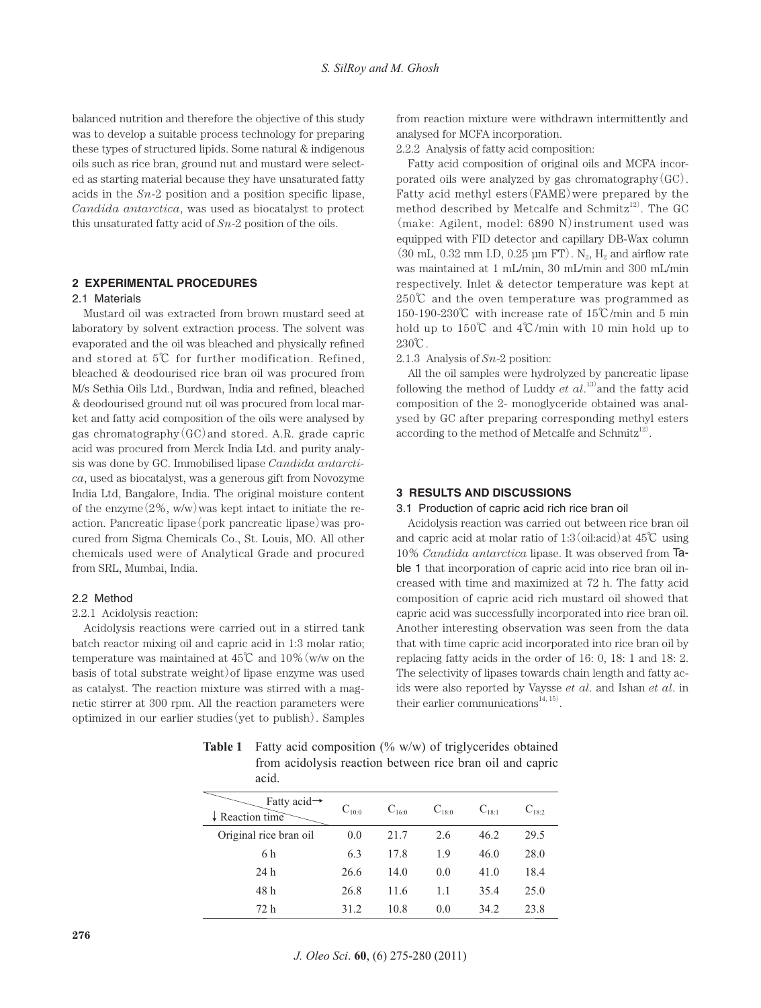balanced nutrition and therefore the objective of this study was to develop a suitable process technology for preparing these types of structured lipids. Some natural & indigenous oils such as rice bran, ground nut and mustard were selected as starting material because they have unsaturated fatty acids in the *Sn*-2 position and a position specific lipase, *Candida antarctica*, was used as biocatalyst to protect this unsaturated fatty acid of *Sn*-2 position of the oils.

## **2 EXPERIMENTAL PROCEDURES**

#### 2.1 Materials

Mustard oil was extracted from brown mustard seed at laboratory by solvent extraction process. The solvent was evaporated and the oil was bleached and physically refined and stored at 5℃ for further modification. Refined, bleached & deodourised rice bran oil was procured from M/s Sethia Oils Ltd., Burdwan, India and refined, bleached & deodourised ground nut oil was procured from local market and fatty acid composition of the oils were analysed by gas chromatography(GC)and stored. A.R. grade capric acid was procured from Merck India Ltd. and purity analysis was done by GC. Immobilised lipase *Candida antarctica*, used as biocatalyst, was a generous gift from Novozyme India Ltd, Bangalore, India. The original moisture content of the enzyme $(2\%, w/w)$  was kept intact to initiate the reaction. Pancreatic lipase(pork pancreatic lipase)was procured from Sigma Chemicals Co., St. Louis, MO. All other chemicals used were of Analytical Grade and procured from SRL, Mumbai, India.

# 2.2 Method

#### 2.2.1 Acidolysis reaction:

Acidolysis reactions were carried out in a stirred tank batch reactor mixing oil and capric acid in 1:3 molar ratio; temperature was maintained at 45℃ and 10%(w/w on the basis of total substrate weight)of lipase enzyme was used as catalyst. The reaction mixture was stirred with a magnetic stirrer at 300 rpm. All the reaction parameters were optimized in our earlier studies(yet to publish). Samples from reaction mixture were withdrawn intermittently and analysed for MCFA incorporation.

2.2.2 Analysis of fatty acid composition:

Fatty acid composition of original oils and MCFA incorporated oils were analyzed by gas chromatography(GC). Fatty acid methyl esters(FAME)were prepared by the method described by Metcalfe and Schmitz $12)$ . The GC (make: Agilent, model: 6890 N)instrument used was equipped with FID detector and capillary DB-Wax column  $(30 \text{ mL}, 0.32 \text{ mm } I.D. 0.25 \text{ µm } FT)$ . N<sub>2</sub>, H<sub>2</sub> and airflow rate was maintained at 1 mL/min, 30 mL/min and 300 mL/min respectively. Inlet & detector temperature was kept at 250℃ and the oven temperature was programmed as 150-190-230℃ with increase rate of 15℃/min and 5 min hold up to 150℃ and 4℃/min with 10 min hold up to 230℃.

2.1.3 Analysis of *Sn*-2 position:

All the oil samples were hydrolyzed by pancreatic lipase following the method of Luddy  $et$   $al$ <sup>13</sup> and the fatty acid composition of the 2- monoglyceride obtained was analysed by GC after preparing corresponding methyl esters according to the method of Metcalfe and Schmitz<sup>12)</sup>.

#### **3 RESULTS AND DISCUSSIONS**

## 3.1 Production of capric acid rich rice bran oil

Acidolysis reaction was carried out between rice bran oil and capric acid at molar ratio of  $1:3$  (oil:acid) at  $45^{\circ}$ C using 10% *Candida antarctica* lipase. It was observed from Table 1 that incorporation of capric acid into rice bran oil increased with time and maximized at 72 h. The fatty acid composition of capric acid rich mustard oil showed that capric acid was successfully incorporated into rice bran oil. Another interesting observation was seen from the data that with time capric acid incorporated into rice bran oil by replacing fatty acids in the order of 16: 0, 18: 1 and 18: 2. The selectivity of lipases towards chain length and fatty acids were also reported by Vaysse *et al*. and Ishan *et al*. in their earlier communications<sup>14, 15</sup>).

Fatty acid→ ↓Reaction time  $C_{10:0}$   $C_{16:0}$   $C_{18:0}$   $C_{18:1}$   $C_{18:2}$ Original rice bran oil  $0.0$  21.7 2.6 46.2 29.5 6 h 6.3 17.8 1.9 46.0 28.0 24 h 26.6 14.0 0.0 41.0 18.4 48 h 26.8 11.6 1.1 35.4 25.0 72 h 31.2 10.8 0.0 34.2 23.8

**Table 1** Fatty acid composition (% w/w) of triglycerides obtained from acidolysis reaction between rice bran oil and capric acid.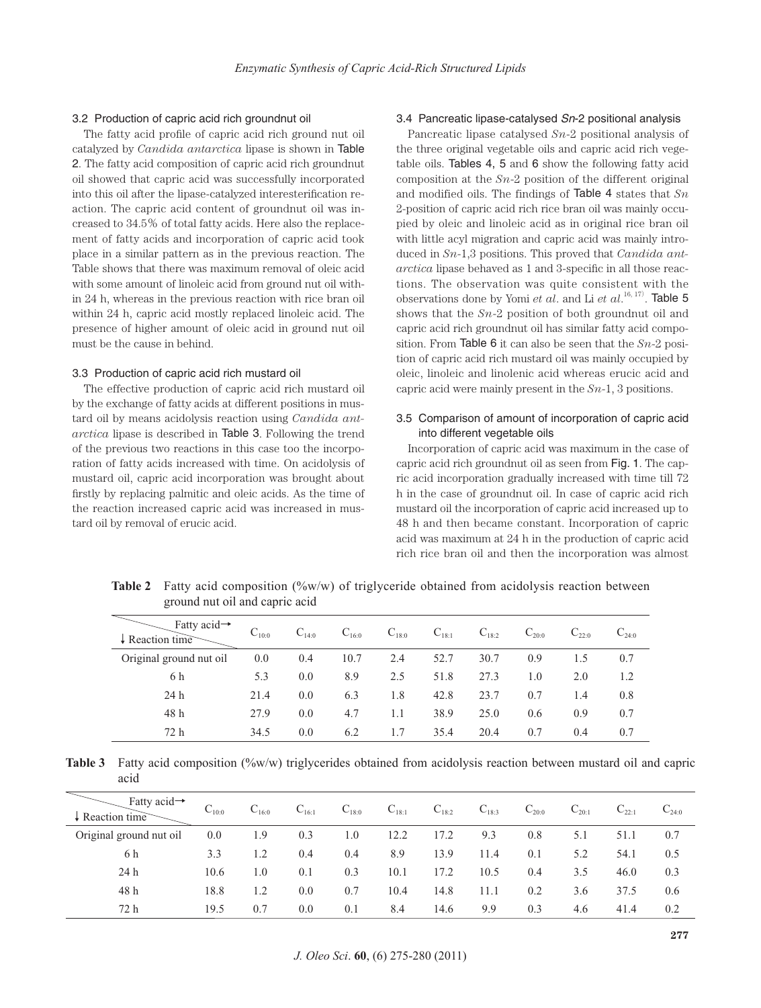## 3.2 Production of capric acid rich groundnut oil

The fatty acid profile of capric acid rich ground nut oil catalyzed by *Candida antarctica* lipase is shown in Table 2. The fatty acid composition of capric acid rich groundnut oil showed that capric acid was successfully incorporated into this oil after the lipase-catalyzed interesterification reaction. The capric acid content of groundnut oil was increased to 34.5% of total fatty acids. Here also the replacement of fatty acids and incorporation of capric acid took place in a similar pattern as in the previous reaction. The Table shows that there was maximum removal of oleic acid with some amount of linoleic acid from ground nut oil within 24 h, whereas in the previous reaction with rice bran oil within 24 h, capric acid mostly replaced linoleic acid. The presence of higher amount of oleic acid in ground nut oil must be the cause in behind.

#### 3.3 Production of capric acid rich mustard oil

The effective production of capric acid rich mustard oil by the exchange of fatty acids at different positions in mustard oil by means acidolysis reaction using *Candida antarctica* lipase is described in Table 3. Following the trend of the previous two reactions in this case too the incorporation of fatty acids increased with time. On acidolysis of mustard oil, capric acid incorporation was brought about firstly by replacing palmitic and oleic acids. As the time of the reaction increased capric acid was increased in mustard oil by removal of erucic acid.

## 3.4 Pancreatic lipase-catalysed *Sn*-2 positional analysis

Pancreatic lipase catalysed *Sn*-2 positional analysis of the three original vegetable oils and capric acid rich vegetable oils. Tables 4, 5 and 6 show the following fatty acid composition at the *Sn*-2 position of the different original and modified oils. The findings of Table 4 states that *Sn* 2-position of capric acid rich rice bran oil was mainly occupied by oleic and linoleic acid as in original rice bran oil with little acyl migration and capric acid was mainly introduced in *Sn*-1,3 positions. This proved that *Candida antarctica* lipase behaved as 1 and 3-specific in all those reactions. The observation was quite consistent with the observations done by Yomi *et al.* and Li *et al.*<sup>16, 17</sup>). **Table 5** shows that the *Sn*-2 position of both groundnut oil and capric acid rich groundnut oil has similar fatty acid composition. From Table 6 it can also be seen that the *Sn*-2 position of capric acid rich mustard oil was mainly occupied by oleic, linoleic and linolenic acid whereas erucic acid and capric acid were mainly present in the *Sn*-1, 3 positions.

# 3.5 Comparison of amount of incorporation of capric acid into different vegetable oils

Incorporation of capric acid was maximum in the case of capric acid rich groundnut oil as seen from Fig. 1. The capric acid incorporation gradually increased with time till 72 h in the case of groundnut oil. In case of capric acid rich mustard oil the incorporation of capric acid increased up to 48 h and then became constant. Incorporation of capric acid was maximum at 24 h in the production of capric acid rich rice bran oil and then the incorporation was almost

| Fatty acid $\rightarrow$<br>$\downarrow$ Reaction time | $C_{10:0}$ | $C_{14:0}$ | $C_{16:0}$ | $C_{18:0}$ | $C_{18:1}$ | $C_{18:2}$ | $C_{20:0}$ | $C_{220}$ | $C_{24:0}$ |
|--------------------------------------------------------|------------|------------|------------|------------|------------|------------|------------|-----------|------------|
| Original ground nut oil                                | 0.0        | 0.4        | 10.7       | 2.4        | 52.7       | 30.7       | 0.9        | 1.5       | 0.7        |
| 6 h                                                    | 5.3        | 0.0        | 8.9        | 2.5        | 51.8       | 27.3       | 1.0        | 2.0       | 1.2        |
| 24 h                                                   | 21.4       | 0.0        | 6.3        | 1.8        | 42.8       | 23.7       | 0.7        | 1.4       | 0.8        |
| 48 h                                                   | 27.9       | 0.0        | 4.7        | 1.1        | 38.9       | 25.0       | 0.6        | 0.9       | 0.7        |
| 72 h                                                   | 34.5       | 0.0        | 6.2        | 1.7        | 35.4       | 20.4       | 0.7        | 0.4       | 0.7        |

**Table 2** Fatty acid composition (%w/w) of triglyceride obtained from acidolysis reaction between ground nut oil and capric acid

**Table 3** Fatty acid composition (%w/w) triglycerides obtained from acidolysis reaction between mustard oil and capric acid

| Fatty acid $\rightarrow$<br>$\downarrow$ Reaction time | $C_{10:0}$ | $C_{16:0}$ | $C_{16:1}$ | $C_{18:0}$ | $C_{18:1}$ | $C_{18:2}$ | $C_{18:3}$ | $C_{20:0}$ | $C_{20:1}$ | $C_{22:1}$ | $C_{24:0}$ |
|--------------------------------------------------------|------------|------------|------------|------------|------------|------------|------------|------------|------------|------------|------------|
| Original ground nut oil                                | 0.0        | 1.9        | 0.3        | 1.0        | 12.2       | 17.2       | 9.3        | 0.8        | 5.1        | 51.1       | 0.7        |
| 6 h                                                    | 3.3        | 1.2        | 0.4        | 0.4        | 8.9        | 13.9       | 11.4       | 0.1        | 5.2        | 54.1       | 0.5        |
| 24h                                                    | 10.6       | 1.0        | 0.1        | 0.3        | 10.1       | 17.2       | 10.5       | 0.4        | 3.5        | 46.0       | 0.3        |
| 48 h                                                   | 18.8       | 1.2        | 0.0        | 0.7        | 10.4       | 14.8       | 11.1       | 0.2        | 3.6        | 37.5       | 0.6        |
| 72 h                                                   | 19.5       | 0.7        | 0.0        | 0.1        | 8.4        | 14.6       | 9.9        | 0.3        | 4.6        | 41.4       | 0.2        |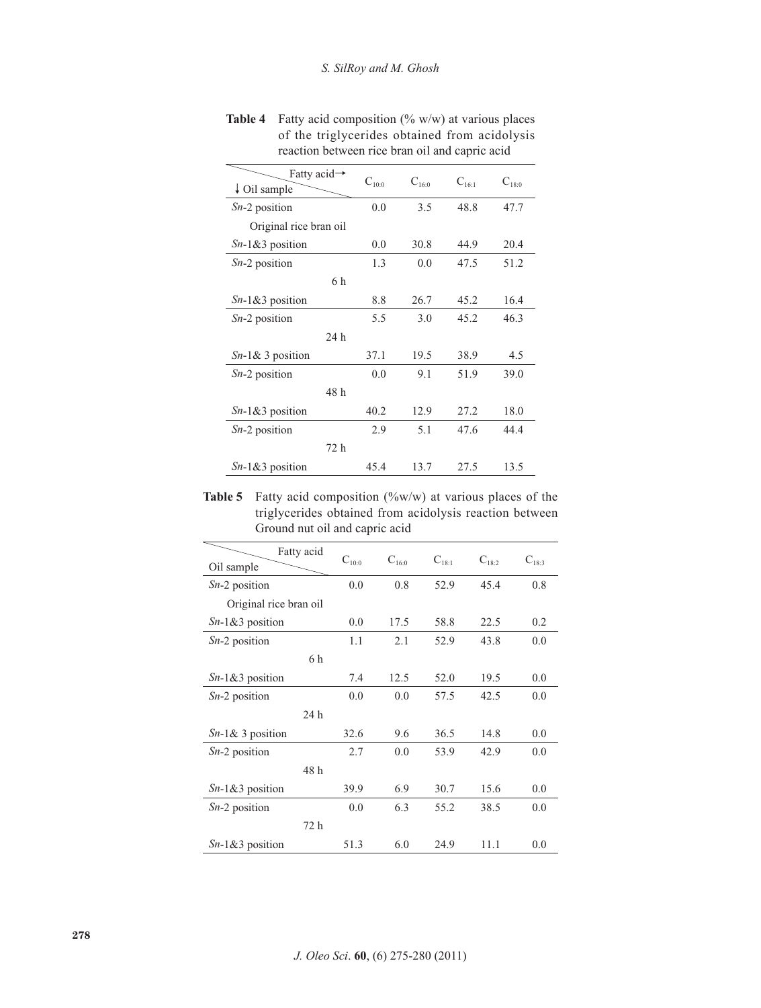| Fatty acid $\rightarrow$ | $C_{10:0}$ | $C_{16:0}$ | $C_{16:1}$ | $C_{18:0}$ |
|--------------------------|------------|------------|------------|------------|
| $\downarrow$ Oil sample  |            |            |            |            |
| $Sn-2$ position          | 0.0        | 3.5        | 48.8       | 47.7       |
| Original rice bran oil   |            |            |            |            |
| $Sn-1&3$ position        | 0.0        | 30.8       | 44.9       | 20.4       |
| $Sn-2$ position          | 1.3        | 0.0        | 47.5       | 51.2       |
| 6 h                      |            |            |            |            |
| $Sn-1&3$ position        | 8.8        | 26.7       | 45.2       | 16.4       |
| $Sn-2$ position          | 5.5        | 3.0        | 45.2       | 46.3       |
| 24 h                     |            |            |            |            |
| $Sn-1&3$ position        | 37.1       | 19.5       | 38.9       | 4.5        |
| $Sn-2$ position          | 0.0        | 9.1        | 51.9       | 39.0       |
| 48 h                     |            |            |            |            |
| $Sn-1&3$ position        | 40.2       | 12.9       | 27.2       | 18.0       |
| $Sn-2$ position          | 2.9        | 5.1        | 47.6       | 44.4       |
| 72 h                     |            |            |            |            |
| $Sn-1&3$ position        | 45.4       | 13.7       | 27.5       | 13.5       |

**Table 4** Fatty acid composition (% w/w) at various places of the triglycerides obtained from acidolysis reaction between rice bran oil and capric acid

**Table 5** Fatty acid composition (%w/w) at various places of the triglycerides obtained from acidolysis reaction between Ground nut oil and capric acid

| Fatty acid<br>Oil sample | $C_{10:0}$ | $C_{16:0}$ | $C_{18:1}$ | $C_{18:2}$ | $C_{18:3}$ |
|--------------------------|------------|------------|------------|------------|------------|
| $Sn-2$ position          | 0.0        | 0.8        | 52.9       | 45.4       | 0.8        |
| Original rice bran oil   |            |            |            |            |            |
| $Sn-1&3$ position        | 0.0        | 17.5       | 58.8       | 22.5       | 0.2        |
| $Sn-2$ position          | 1.1        | 2.1        | 52.9       | 43.8       | 0.0        |
| 6 h                      |            |            |            |            |            |
| $Sn-1&3$ position        | 7.4        | 12.5       | 52.0       | 19.5       | 0.0        |
| $Sn-2$ position          | 0.0        | 0.0        | 57.5       | 42.5       | 0.0        |
| 24 h                     |            |            |            |            |            |
| $Sn-1&3$ position        | 32.6       | 9.6        | 36.5       | 14.8       | 0.0        |
| $Sn-2$ position          | 2.7        | 0.0        | 53.9       | 42.9       | 0.0        |
| 48h                      |            |            |            |            |            |
| $Sn-1&3$ position        | 39.9       | 6.9        | 30.7       | 15.6       | 0.0        |
| $Sn-2$ position          | 0.0        | 6.3        | 55.2       | 38.5       | 0.0        |
| 72 h                     |            |            |            |            |            |
| $Sn-1&3$ position        | 51.3       | 6.0        | 24.9       | 11.1       | 0.0        |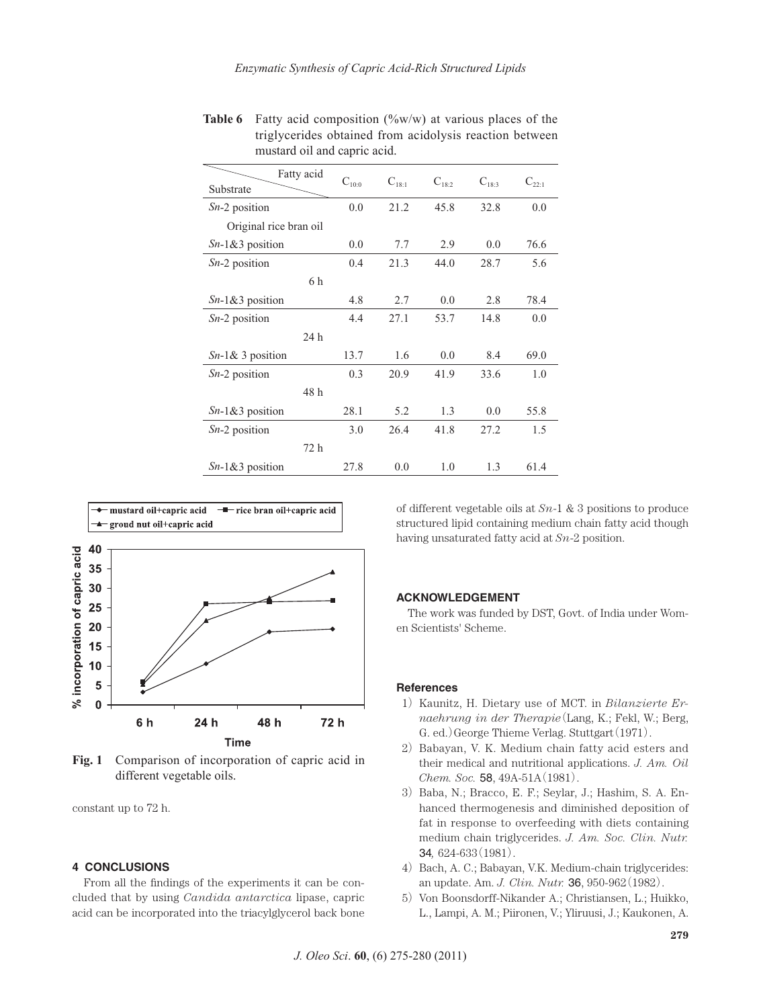| Fatty acid<br>Substrate | $C_{10:0}$ | $C_{18:1}$ | $C_{18:2}$ | $C_{18:3}$ | $C_{22:1}$ |
|-------------------------|------------|------------|------------|------------|------------|
|                         |            |            |            |            |            |
| $Sn-2$ position         | 0.0        | 21.2       | 45.8       | 32.8       | 0.0        |
| Original rice bran oil  |            |            |            |            |            |
| $Sn-1&3$ position       | 0.0        | 7.7        | 2.9        | 0.0        | 76.6       |
| $Sn-2$ position         | 0.4        | 21.3       | 44.0       | 28.7       | 5.6        |
| 6 h                     |            |            |            |            |            |
| $Sn-1&3$ position       | 4.8        | 2.7        | 0.0        | 2.8        | 78.4       |
| $Sn-2$ position         | 4.4        | 27.1       | 53.7       | 14.8       | 0.0        |
| 24 h                    |            |            |            |            |            |
| $Sn-1&3$ position       | 13.7       | 1.6        | 0.0        | 8.4        | 69.0       |
| $Sn-2$ position         | 0.3        | 20.9       | 41.9       | 33.6       | 1.0        |
| 48 h                    |            |            |            |            |            |
| $Sn-1&3$ position       | 28.1       | 5.2        | 1.3        | 0.0        | 55.8       |
| $Sn-2$ position         | 3.0        | 26.4       | 41.8       | 27.2       | 1.5        |
| 72 h                    |            |            |            |            |            |
| $Sn-1&3$ position       | 27.8       | 0.0        | 1.0        | 1.3        | 61.4       |

**Table 6** Fatty acid composition (%w/w) at various places of the triglycerides obtained from acidolysis reaction between mustard oil and capric acid.



Fig. 1 Comparison of incorporation of capric acid in different vegetable oils.

constant up to 72 h.

# **4 CONCLUSIONS**

From all the findings of the experiments it can be concluded that by using *Candida antarctica* lipase, capric acid can be incorporated into the triacylglycerol back bone of different vegetable oils at *Sn*-1 & 3 positions to produce structured lipid containing medium chain fatty acid though having unsaturated fatty acid at *Sn*-2 position.

## **ACKNOWLEDGEMENT**

The work was funded by DST, Govt. of India under Women Scientists' Scheme.

#### **References**

- 1) Kaunitz, H. Dietary use of MCT. in *Bilanzierte Ernaehrung in der Therapie*(Lang, K.; Fekl, W.; Berg, G. ed.)George Thieme Verlag. Stuttgart(1971).
- 2) Babayan, V. K. Medium chain fatty acid esters and their medical and nutritional applications. *J. Am. Oil Chem. Soc.* 58, 49A-51A(1981).
- 3) Baba, N.; Bracco, E. F.; Seylar, J.; Hashim, S. A. Enhanced thermogenesis and diminished deposition of fat in response to overfeeding with diets containing medium chain triglycerides. *J. Am. Soc. Clin. Nutr.*  34*,* 624-633(1981).
- 4) Bach, A. C.; Babayan, V.K. Medium-chain triglycerides: an update. Am. *J. Clin. Nutr.* 36, 950-962(1982).
- 5) Von Boonsdorff-Nikander A.; Christiansen, L.; Huikko, L., Lampi, A. M.; Piironen, V.; Yliruusi, J.; Kaukonen, A.